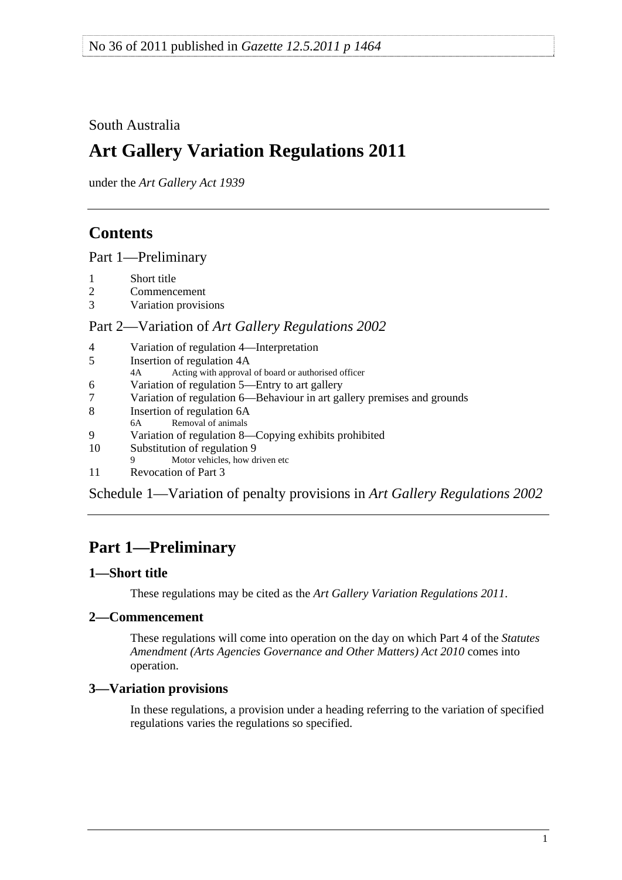<span id="page-0-0"></span>South Australia

# **Art Gallery Variation Regulations 2011**

under the *Art Gallery Act 1939*

## **Contents**

[Part 1—Preliminary](#page-0-0)

- [1 Short title](#page-0-0)
- [2 Commencement](#page-0-0)
- [3 Variation provisions](#page-0-0)

## Part 2—Variation of *[Art Gallery Regulations 2002](#page-1-0)*

- [4 Variation of regulation 4—Interpretation](#page-1-0)
- [5 Insertion of regulation 4A](#page-1-0)
- [4A Acting with approval of board or authorised officer](#page-0-0)
- [6 Variation of regulation 5—Entry to art gallery](#page-1-0)
- [7 Variation of regulation 6—Behaviour in art gallery premises and grounds](#page-1-0)
- [8 Insertion of regulation 6A](#page-1-0)
- [6A Removal of animals](#page-0-0)
- [9 Variation of regulation 8—Copying exhibits prohibited](#page-2-0)
- [10 Substitution of regulation 9](#page-2-0)
- [9 Motor vehicles, how driven etc](#page-0-0)
- [11 Revocation of Part 3](#page-2-0)

[Schedule 1—Variation of penalty provisions in](#page-2-0) *Art Gallery Regulations 2002*

# **Part 1—Preliminary**

## **1—Short title**

These regulations may be cited as the *Art Gallery Variation Regulations 2011*.

## **2—Commencement**

These regulations will come into operation on the day on which Part 4 of the *[Statutes](http://www.legislation.sa.gov.au/index.aspx?action=legref&type=act&legtitle=Statutes%20Amendment%20(Arts%20Agencies%20Governance%20and%20Other%20Matters)%20Act%202010)  [Amendment \(Arts Agencies Governance and Other Matters\) Act 2010](http://www.legislation.sa.gov.au/index.aspx?action=legref&type=act&legtitle=Statutes%20Amendment%20(Arts%20Agencies%20Governance%20and%20Other%20Matters)%20Act%202010)* comes into operation.

## **3—Variation provisions**

In these regulations, a provision under a heading referring to the variation of specified regulations varies the regulations so specified.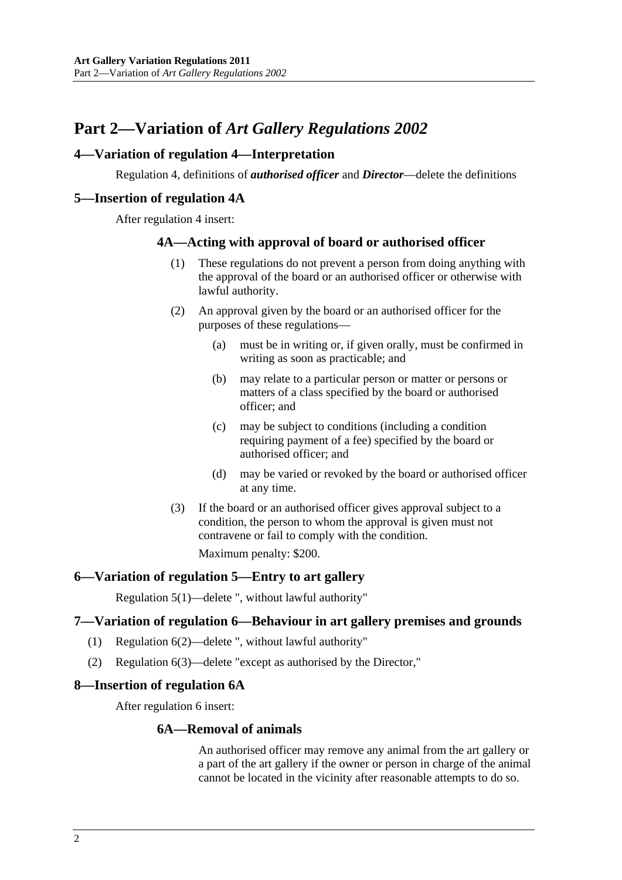## <span id="page-1-0"></span>**Part 2—Variation of** *Art Gallery Regulations 2002*

## **4—Variation of regulation 4—Interpretation**

Regulation 4, definitions of *authorised officer* and *Director*—delete the definitions

#### **5—Insertion of regulation 4A**

After regulation 4 insert:

#### **4A—Acting with approval of board or authorised officer**

- (1) These regulations do not prevent a person from doing anything with the approval of the board or an authorised officer or otherwise with lawful authority.
- (2) An approval given by the board or an authorised officer for the purposes of these regulations—
	- (a) must be in writing or, if given orally, must be confirmed in writing as soon as practicable; and
	- (b) may relate to a particular person or matter or persons or matters of a class specified by the board or authorised officer; and
	- (c) may be subject to conditions (including a condition requiring payment of a fee) specified by the board or authorised officer; and
	- (d) may be varied or revoked by the board or authorised officer at any time.
- (3) If the board or an authorised officer gives approval subject to a condition, the person to whom the approval is given must not contravene or fail to comply with the condition.

Maximum penalty: \$200.

#### **6—Variation of regulation 5—Entry to art gallery**

Regulation 5(1)—delete ", without lawful authority"

#### **7—Variation of regulation 6—Behaviour in art gallery premises and grounds**

- (1) Regulation 6(2)—delete ", without lawful authority"
- (2) Regulation 6(3)—delete "except as authorised by the Director,"

#### **8—Insertion of regulation 6A**

After regulation 6 insert:

#### **6A—Removal of animals**

An authorised officer may remove any animal from the art gallery or a part of the art gallery if the owner or person in charge of the animal cannot be located in the vicinity after reasonable attempts to do so.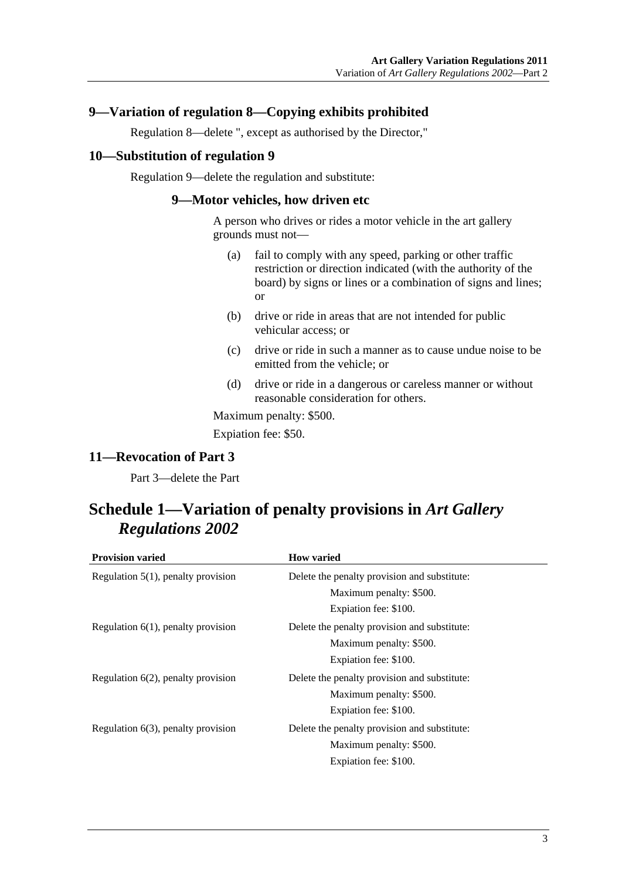## <span id="page-2-0"></span>**9—Variation of regulation 8—Copying exhibits prohibited**

Regulation 8—delete ", except as authorised by the Director,"

#### **10—Substitution of regulation 9**

Regulation 9—delete the regulation and substitute:

#### **9—Motor vehicles, how driven etc**

A person who drives or rides a motor vehicle in the art gallery grounds must not—

- (a) fail to comply with any speed, parking or other traffic restriction or direction indicated (with the authority of the board) by signs or lines or a combination of signs and lines; or
- (b) drive or ride in areas that are not intended for public vehicular access; or
- (c) drive or ride in such a manner as to cause undue noise to be emitted from the vehicle; or
- (d) drive or ride in a dangerous or careless manner or without reasonable consideration for others.

Maximum penalty: \$500.

Expiation fee: \$50.

## **11—Revocation of Part 3**

Part 3—delete the Part

# **Schedule 1—Variation of penalty provisions in** *Art Gallery Regulations 2002*

| <b>Provision varied</b>               | <b>How varied</b>                            |
|---------------------------------------|----------------------------------------------|
| Regulation $5(1)$ , penalty provision | Delete the penalty provision and substitute: |
|                                       | Maximum penalty: \$500.                      |
|                                       | Expiation fee: \$100.                        |
| Regulation $6(1)$ , penalty provision | Delete the penalty provision and substitute: |
|                                       | Maximum penalty: \$500.                      |
|                                       | Expiation fee: \$100.                        |
| Regulation $6(2)$ , penalty provision | Delete the penalty provision and substitute: |
|                                       | Maximum penalty: \$500.                      |
|                                       | Expiation fee: \$100.                        |
| Regulation $6(3)$ , penalty provision | Delete the penalty provision and substitute: |
|                                       | Maximum penalty: \$500.                      |
|                                       | Expiation fee: \$100.                        |